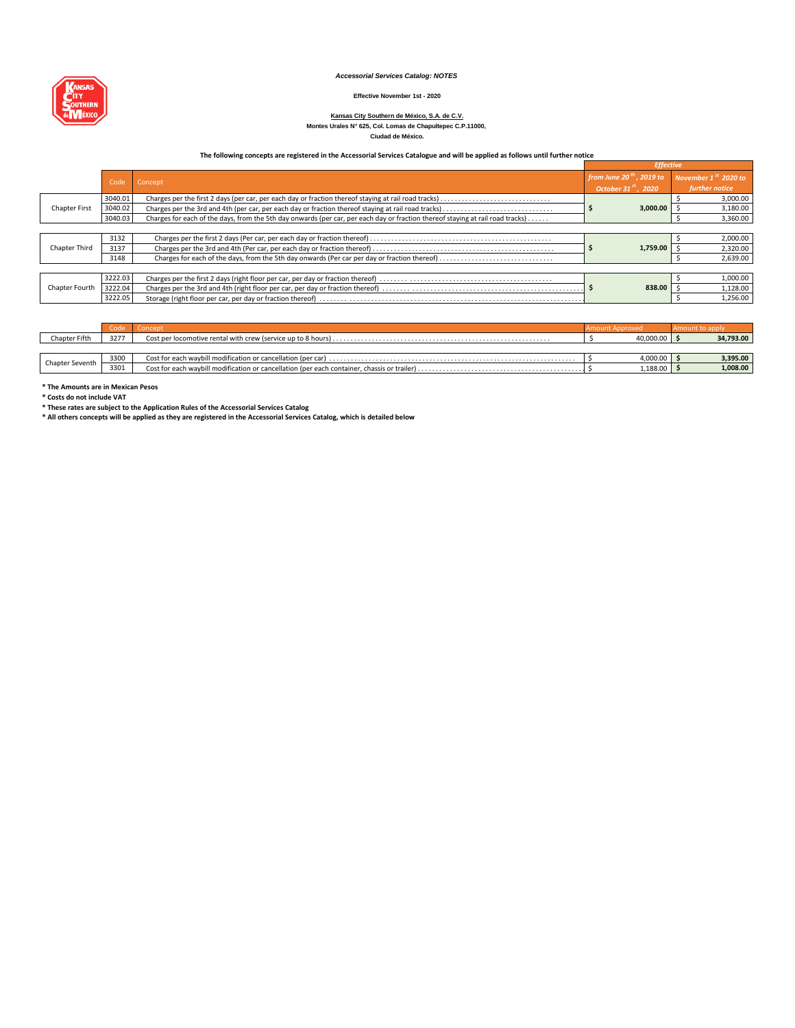#### *Accessorial Services Catalog: NOTES*

#### **Effective November 1st - 2020**

#### **Montes Urales N° 625, Col. Lomas de Chapultepec C.P.11000, Kansas City Southern de México, S.A. de C.V.**

**Ciudad de México.**

### **The following concepts are registered in the Accessorial Services Catalogue and will be applied as follows until further notice**

|                      |         |                                                                                                                                |                                      | <b>Effective</b> |                        |  |
|----------------------|---------|--------------------------------------------------------------------------------------------------------------------------------|--------------------------------------|------------------|------------------------|--|
|                      |         | Code Concept                                                                                                                   | from June 20 <sup>th</sup> , 2019 to |                  | November $1st$ 2020 to |  |
|                      |         |                                                                                                                                | October 31 $\mathrm{^{st}}$ . 2020   |                  | further notice         |  |
|                      | 3040.01 | Charges per the first 2 days (per car, per each day or fraction thereof staying at rail road tracks)                           |                                      | 3,000.00         | 3,000.00               |  |
| <b>Chapter First</b> | 3040.02 | Charges per the 3rd and 4th (per car, per each day or fraction thereof staying at rail road tracks)                            |                                      |                  | 3,180.00               |  |
|                      | 3040.03 | Charges for each of the days, from the 5th day onwards (per car, per each day or fraction thereof staying at rail road tracks) |                                      |                  | 3,360.00               |  |
|                      |         |                                                                                                                                |                                      |                  |                        |  |
|                      | 3132    |                                                                                                                                |                                      | 1,759.00         | 2,000.00               |  |
| <b>Chapter Third</b> | 3137    |                                                                                                                                |                                      |                  | 2,320.00               |  |
|                      | 3148    |                                                                                                                                |                                      |                  | 2,639.00               |  |
|                      |         |                                                                                                                                |                                      |                  |                        |  |
|                      | 3222.03 |                                                                                                                                |                                      |                  | 1,000.00               |  |
| Chapter Fourth       | 3222.04 |                                                                                                                                | 838.00                               |                  | 1,128.00               |  |
|                      | 3222.05 |                                                                                                                                |                                      | 1,256.00         |                        |  |

|                 | Code | Concept | Amount Approved | Amount to apply |  |
|-----------------|------|---------|-----------------|-----------------|--|
| Chapter Fifth   | 3277 |         | 40.000.00       | 34,793.00       |  |
|                 |      |         |                 |                 |  |
| Chapter Seventh | 3300 |         | 4,000.00        | 3,395.00        |  |
|                 | 3301 |         | 1,188.00        | 1,008.00        |  |

**\* The Amounts are in Mexican Pesos**

**\* Costs do not include VAT**

\* These rates are subject to the Application Rules of the Accessorial Services Catalog<br>\* All others concepts will be applied as they are registered in the Accessorial Services Catalog, which is detailed below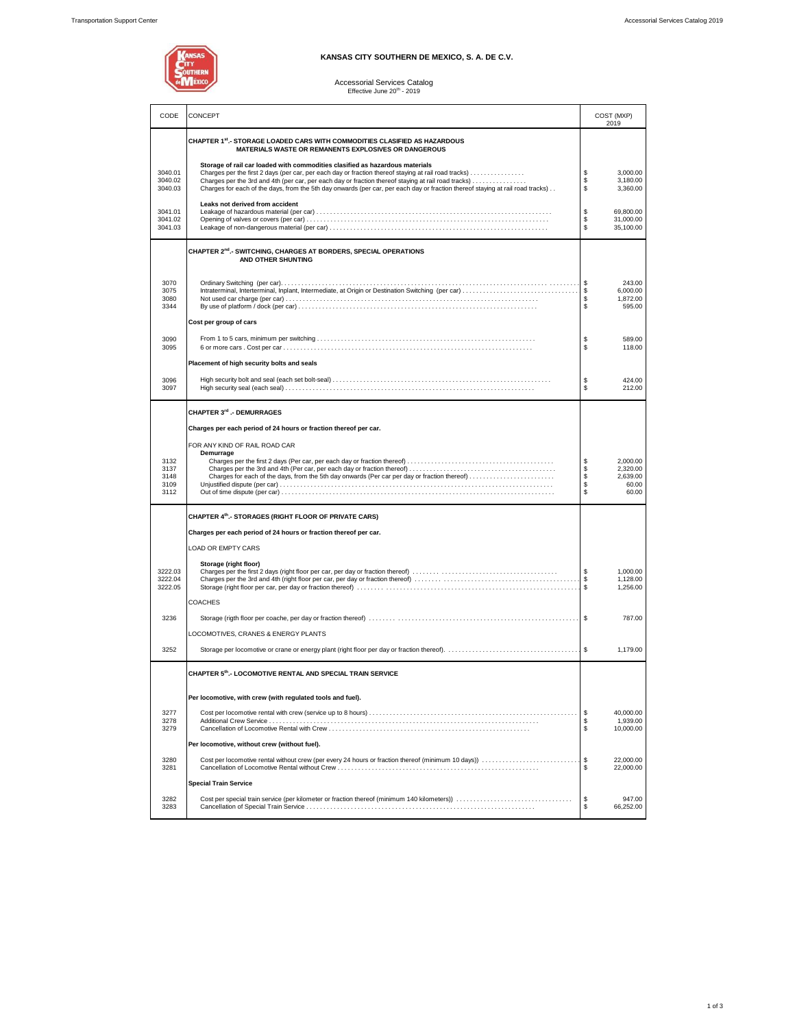## **KANSAS CITY SOUTHERN DE MEXICO, S. A. DE C.V.**

Accessorial Services Catalog<br>Effective June 20<sup>th</sup> - 2019

| CODE                                 | CONCEPT                                                                                                                                                                                                                                                                                                                                                                                                                       | COST (MXP)<br>2019                    |                                                    |  |
|--------------------------------------|-------------------------------------------------------------------------------------------------------------------------------------------------------------------------------------------------------------------------------------------------------------------------------------------------------------------------------------------------------------------------------------------------------------------------------|---------------------------------------|----------------------------------------------------|--|
|                                      | CHAPTER 1st. - STORAGE LOADED CARS WITH COMMODITIES CLASIFIED AS HAZARDOUS<br>MATERIALS WASTE OR REMANENTS EXPLOSIVES OR DANGEROUS                                                                                                                                                                                                                                                                                            |                                       |                                                    |  |
| 3040.01<br>3040.02<br>3040.03        | Storage of rail car loaded with commodities clasified as hazardous materials<br>Charges per the first 2 days (per car, per each day or fraction thereof staying at rail road tracks)<br>Charges per the 3rd and 4th (per car, per each day or fraction thereof staying at rail road tracks)<br>Charges for each of the days, from the 5th day onwards (per car, per each day or fraction thereof staying at rail road tracks) | \$<br>\$<br>\$                        | 3,000.00<br>3,180.00<br>3,360.00                   |  |
| 3041.01<br>3041.02<br>3041.03        | Leaks not derived from accident                                                                                                                                                                                                                                                                                                                                                                                               | \$<br>\$<br>\$                        | 69,800.00<br>31,000.00<br>35,100.00                |  |
|                                      | CHAPTER 2 <sup>nd</sup> .- SWITCHING. CHARGES AT BORDERS. SPECIAL OPERATIONS<br>AND OTHER SHUNTING                                                                                                                                                                                                                                                                                                                            |                                       |                                                    |  |
| 3070<br>3075<br>3080<br>3344         | Cost per group of cars                                                                                                                                                                                                                                                                                                                                                                                                        | \$<br>\$<br>\$<br>\$                  | 243.00<br>6,000.00<br>1,872.00<br>595.00           |  |
| 3090<br>3095                         |                                                                                                                                                                                                                                                                                                                                                                                                                               | \$<br>\$                              | 589.00<br>118.00                                   |  |
| 3096<br>3097                         | Placement of high security bolts and seals                                                                                                                                                                                                                                                                                                                                                                                    | \$<br>\$                              | 424.00<br>212.00                                   |  |
| 3132<br>3137<br>3148<br>3109<br>3112 | CHAPTER 3rd .- DEMURRAGES<br>Charges per each period of 24 hours or fraction thereof per car.<br>FOR ANY KIND OF RAIL ROAD CAR<br>Demurrage<br>Charges for each of the days, from the 5th day onwards (Per car per day or fraction thereof)                                                                                                                                                                                   | \$<br>\$<br>\$<br>\$<br>$\mathsf{\$}$ | 2,000.00<br>2,320.00<br>2,639.00<br>60.00<br>60.00 |  |
|                                      | CHAPTER 4th.- STORAGES (RIGHT FLOOR OF PRIVATE CARS)<br>Charges per each period of 24 hours or fraction thereof per car.                                                                                                                                                                                                                                                                                                      |                                       |                                                    |  |
| 3222.03<br>3222.04<br>3222.05        | LOAD OR EMPTY CARS<br>Storage (right floor)                                                                                                                                                                                                                                                                                                                                                                                   | \$<br>\$<br>\$                        | 1,000.00<br>1,128.00<br>1,256.00                   |  |
| 3236                                 | <b>COACHES</b>                                                                                                                                                                                                                                                                                                                                                                                                                | $\sqrt{3}$                            | 787.00                                             |  |
| 3252                                 | LOCOMOTIVES, CRANES & ENERGY PLANTS                                                                                                                                                                                                                                                                                                                                                                                           |                                       | 1,179.00                                           |  |
|                                      | CHAPTER 5th.- LOCOMOTIVE RENTAL AND SPECIAL TRAIN SERVICE                                                                                                                                                                                                                                                                                                                                                                     |                                       |                                                    |  |
| 3277<br>3278<br>3279                 | Per locomotive, with crew (with regulated tools and fuel).                                                                                                                                                                                                                                                                                                                                                                    | \$<br>\$<br>\$                        | 40,000.00<br>1,939.00<br>10.000.00                 |  |
| 3280<br>3281                         | Per locomotive, without crew (without fuel).                                                                                                                                                                                                                                                                                                                                                                                  | \$<br>\$                              | 22,000.00<br>22,000.00                             |  |
| 3282                                 | <b>Special Train Service</b>                                                                                                                                                                                                                                                                                                                                                                                                  | \$                                    | 947.00                                             |  |
| 3283                                 |                                                                                                                                                                                                                                                                                                                                                                                                                               | \$                                    | 66,252.00                                          |  |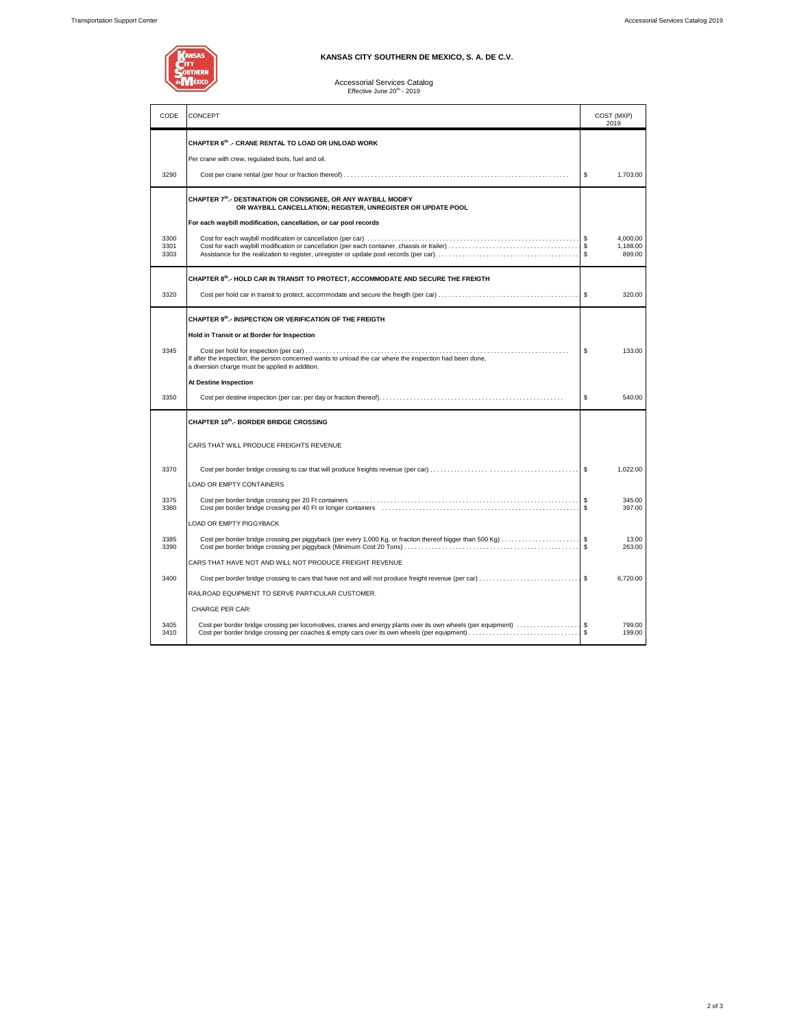

## **KANSAS CITY SOUTHERN DE MEXICO, S. A. DE C.V.**

# Accessorial Services Catalog<br>Effective June 20<sup>th</sup> - 2019

| CODE                 | CONCEPT                                                                                                                                                                                                                                                                |          | COST (MXP)<br>2019             |
|----------------------|------------------------------------------------------------------------------------------------------------------------------------------------------------------------------------------------------------------------------------------------------------------------|----------|--------------------------------|
|                      | CHAPTER 6th .- CRANE RENTAL TO LOAD OR UNLOAD WORK<br>Per crane with crew, regulated tools, fuel and oil.                                                                                                                                                              |          |                                |
| 3290                 |                                                                                                                                                                                                                                                                        | \$       | 1,703.00                       |
|                      | CHAPTER 7th.- DESTINATION OR CONSIGNEE, OR ANY WAYBILL MODIFY<br>OR WAYBILL CANCELLATION; REGISTER, UNREGISTER OR UPDATE POOL<br>For each waybill modification, cancellation, or car pool records                                                                      |          |                                |
| 3300<br>3301<br>3303 |                                                                                                                                                                                                                                                                        | Ŝ.<br>Ŝ. | 4.000.00<br>1,188.00<br>899.00 |
|                      | CHAPTER 8th.- HOLD CAR IN TRANSIT TO PROTECT, ACCOMMODATE AND SECURE THE FREIGTH                                                                                                                                                                                       |          |                                |
| 3320                 |                                                                                                                                                                                                                                                                        | <b>S</b> | 320.00                         |
| 3345                 | CHAPTER 9th.- INSPECTION OR VERIFICATION OF THE FREIGTH<br>Hold in Transit or at Border for Inspection<br>If after the inspection, the person concerned wants to unload the car where the inspection had been done,<br>a diversion charge must be applied in addition. | \$       | 133.00                         |
|                      | At Destine Inspection                                                                                                                                                                                                                                                  |          |                                |
| 3350                 |                                                                                                                                                                                                                                                                        | \$       | 540.00                         |
|                      | CHAPTER 10th.- BORDER BRIDGE CROSSING                                                                                                                                                                                                                                  |          |                                |
|                      | CARS THAT WILL PRODUCE FREIGHTS REVENUE                                                                                                                                                                                                                                |          |                                |
| 3370                 | <b>LOAD OR EMPTY CONTAINERS</b>                                                                                                                                                                                                                                        | <b>S</b> | 1,022.00                       |
| 3375<br>3380         |                                                                                                                                                                                                                                                                        | \$<br>\$ | 345.00<br>397.00               |
|                      | <b>LOAD OR EMPTY PIGGYBACK</b>                                                                                                                                                                                                                                         |          |                                |
| 3385<br>3390         | Cost per border bridge crossing per piggyback (per every 1,000 Kg. or fraction thereof bigger than 500 Kg) \$                                                                                                                                                          |          | 13.00<br>263.00                |
|                      | CARS THAT HAVE NOT AND WILL NOT PRODUCE FREIGHT REVENUE                                                                                                                                                                                                                |          |                                |
| 3400                 | Cost per border bridge crossing to cars that have not and will not produce freight revenue (per car) \$                                                                                                                                                                |          | 6.720.00                       |
|                      | RAILROAD EQUIPMENT TO SERVE PARTICULAR CUSTOMER.                                                                                                                                                                                                                       |          |                                |
|                      | <b>CHARGE PER CAR:</b>                                                                                                                                                                                                                                                 |          |                                |
| 3405<br>3410         | Cost per border bridge crossing per locomotives, cranes and energy plants over its own wheels (per equipment) \$<br>Cost per border bridge crossing per coaches & empty cars over its own wheels (per equipment)                                                       |          | 799.00<br>199.00               |